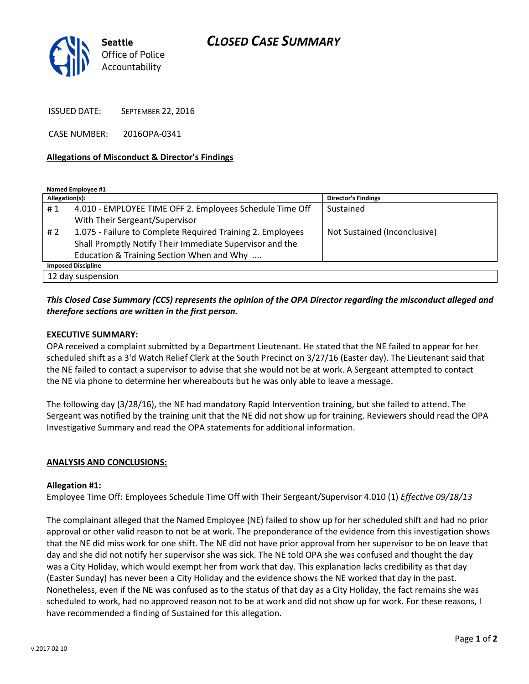# CLOSED CASE SUMMARY



ISSUED DATE: SEPTEMBER 22, 2016

CASE NUMBER: 2016OPA-0341

## Allegations of Misconduct & Director's Findings

Named Employee #1

| Allegation(s):            |                                                            | <b>Director's Findings</b>   |
|---------------------------|------------------------------------------------------------|------------------------------|
| #1                        | 4.010 - EMPLOYEE TIME OFF 2. Employees Schedule Time Off   | Sustained                    |
|                           | With Their Sergeant/Supervisor                             |                              |
| #2                        | 1.075 - Failure to Complete Required Training 2. Employees | Not Sustained (Inconclusive) |
|                           | Shall Promptly Notify Their Immediate Supervisor and the   |                              |
|                           | Education & Training Section When and Why                  |                              |
| <b>Imposed Discipline</b> |                                                            |                              |
| 12 day suspension         |                                                            |                              |

# This Closed Case Summary (CCS) represents the opinion of the OPA Director regarding the misconduct alleged and therefore sections are written in the first person.

### EXECUTIVE SUMMARY:

OPA received a complaint submitted by a Department Lieutenant. He stated that the NE failed to appear for her scheduled shift as a 3'd Watch Relief Clerk at the South Precinct on 3/27/16 (Easter day). The Lieutenant said that the NE failed to contact a supervisor to advise that she would not be at work. A Sergeant attempted to contact the NE via phone to determine her whereabouts but he was only able to leave a message.

The following day (3/28/16), the NE had mandatory Rapid Intervention training, but she failed to attend. The Sergeant was notified by the training unit that the NE did not show up for training. Reviewers should read the OPA Investigative Summary and read the OPA statements for additional information.

#### ANALYSIS AND CONCLUSIONS:

#### Allegation #1:

Employee Time Off: Employees Schedule Time Off with Their Sergeant/Supervisor 4.010 (1) Effective 09/18/13

The complainant alleged that the Named Employee (NE) failed to show up for her scheduled shift and had no prior approval or other valid reason to not be at work. The preponderance of the evidence from this investigation shows that the NE did miss work for one shift. The NE did not have prior approval from her supervisor to be on leave that day and she did not notify her supervisor she was sick. The NE told OPA she was confused and thought the day was a City Holiday, which would exempt her from work that day. This explanation lacks credibility as that day (Easter Sunday) has never been a City Holiday and the evidence shows the NE worked that day in the past. Nonetheless, even if the NE was confused as to the status of that day as a City Holiday, the fact remains she was scheduled to work, had no approved reason not to be at work and did not show up for work. For these reasons, I have recommended a finding of Sustained for this allegation.